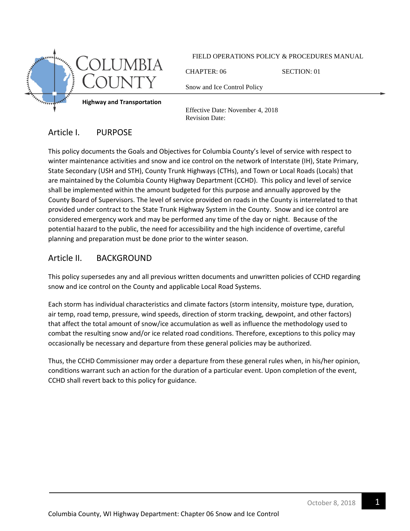

FIELD OPERATIONS POLICY & PROCEDURES MANUAL

CHAPTER: 06 SECTION: 01

Snow and Ice Control Policy

Effective Date: November 4, 2018 Revision Date:

# Article I. PURPOSE

This policy documents the Goals and Objectives for Columbia County's level of service with respect to winter maintenance activities and snow and ice control on the network of Interstate (IH), State Primary, State Secondary (USH and STH), County Trunk Highways (CTHs), and Town or Local Roads (Locals) that are maintained by the Columbia County Highway Department (CCHD). This policy and level of service shall be implemented within the amount budgeted for this purpose and annually approved by the County Board of Supervisors. The level of service provided on roads in the County is interrelated to that provided under contract to the State Trunk Highway System in the County. Snow and ice control are considered emergency work and may be performed any time of the day or night. Because of the potential hazard to the public, the need for accessibility and the high incidence of overtime, careful planning and preparation must be done prior to the winter season.

## Article II. BACKGROUND

This policy supersedes any and all previous written documents and unwritten policies of CCHD regarding snow and ice control on the County and applicable Local Road Systems.

Each storm has individual characteristics and climate factors (storm intensity, moisture type, duration, air temp, road temp, pressure, wind speeds, direction of storm tracking, dewpoint, and other factors) that affect the total amount of snow/ice accumulation as well as influence the methodology used to combat the resulting snow and/or ice related road conditions. Therefore, exceptions to this policy may occasionally be necessary and departure from these general policies may be authorized.

Thus, the CCHD Commissioner may order a departure from these general rules when, in his/her opinion, conditions warrant such an action for the duration of a particular event. Upon completion of the event, CCHD shall revert back to this policy for guidance.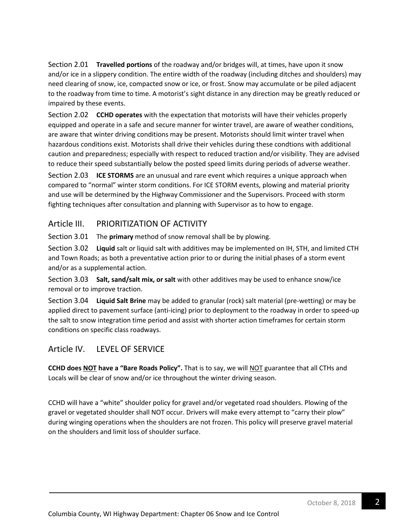Section 2.01 **Travelled portions** of the roadway and/or bridges will, at times, have upon it snow and/or ice in a slippery condition. The entire width of the roadway (including ditches and shoulders) may need clearing of snow, ice, compacted snow or ice, or frost. Snow may accumulate or be piled adjacent to the roadway from time to time. A motorist's sight distance in any direction may be greatly reduced or impaired by these events.

Section 2.02 **CCHD operates** with the expectation that motorists will have their vehicles properly equipped and operate in a safe and secure manner for winter travel, are aware of weather conditions, are aware that winter driving conditions may be present. Motorists should limit winter travel when hazardous conditions exist. Motorists shall drive their vehicles during these condtions with additional caution and preparedness; especially with respect to reduced traction and/or visibility. They are advised to reduce their speed substantially below the posted speed limits during periods of adverse weather.

Section 2.03 **ICE STORMS** are an unusual and rare event which requires a unique approach when compared to "normal" winter storm conditions. For ICE STORM events, plowing and material priority and use will be determined by the Highway Commissioner and the Supervisors. Proceed with storm fighting techniques after consultation and planning with Supervisor as to how to engage.

### Article III. PRIORITIZATION OF ACTIVITY

Section 3.01 The **primary** method of snow removal shall be by plowing.

Section 3.02 **Liquid** salt or liquid salt with additives may be implemented on IH, STH, and limited CTH and Town Roads; as both a preventative action prior to or during the initial phases of a storm event and/or as a supplemental action.

Section 3.03 **Salt, sand/salt mix, or salt** with other additives may be used to enhance snow/ice removal or to improve traction.

Section 3.04 **Liquid Salt Brine** may be added to granular (rock) salt material (pre-wetting) or may be applied direct to pavement surface (anti-icing) prior to deployment to the roadway in order to speed-up the salt to snow integration time period and assist with shorter action timeframes for certain storm conditions on specific class roadways.

## Article IV. LEVEL OF SERVICE

**CCHD does NOT have a "Bare Roads Policy".** That is to say, we will NOT guarantee that all CTHs and Locals will be clear of snow and/or ice throughout the winter driving season.

CCHD will have a "white" shoulder policy for gravel and/or vegetated road shoulders. Plowing of the gravel or vegetated shoulder shall NOT occur. Drivers will make every attempt to "carry their plow" during winging operations when the shoulders are not frozen. This policy will preserve gravel material on the shoulders and limit loss of shoulder surface.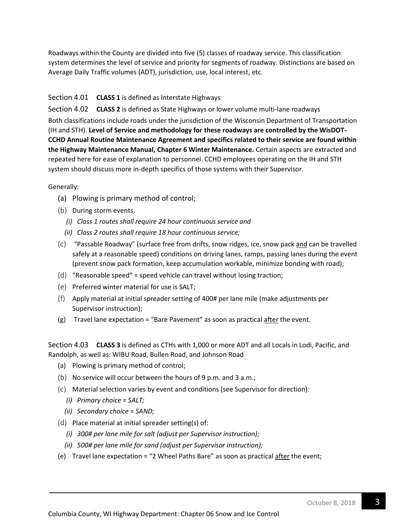Roadways within the County are divided into five (5) classes of roadway service. This classification system determines the level of service and priority for segments of roadway. Distinctions are based on Average Daily Traffic volumes (ADT), jurisdiction, use, local interest, etc.

#### Section 4.01 **CLASS 1** is defined as Interstate Highways

Section 4.02 **CLASS 2** is defined as State Highways or lower volume multi-lane roadways Both classifications include roads under the jurisdiction of the Wisconsin Department of Transportation (IH and STH). **Level of Service and methodology for these roadways are controlled by the WisDOT-CCHD Annual Routine Maintenance Agreement and specifics related to their service are found within the Highway Maintenance Manual, Chapter 6 Winter Maintenance.** Certain aspects are extracted and repeated here for ease of explanation to personnel. CCHD employees operating on the IH and STH system should discuss more in-depth specifics of those systems with their Supervisor.

Generally:

- (a) Plowing is primary method of control;
- (b) During storm events,
	- *(i) Class 1 routes shall require 24 hour continuous service and*
	- *(ii) Class 2 routes shall require 18 hour continuous service;*
- (c) "Passable Roadway" (surface free from drifts, snow ridges, ice, snow pack and can be travelled safely at a reasonable speed) conditions on driving lanes, ramps, passing lanes during the event (prevent snow pack formation, keep accumulation workable, minimize bonding with road);
- (d) "Reasonable speed" = speed vehicle can travel without losing traction;
- (e) Preferred winter material for use is SALT;
- (f) Apply material at initial spreader setting of 400# per lane mile (make adjustments per Supervisor instruction);
- (g) Travel lane expectation = "Bare Pavement" as soon as practical after the event.

Section 4.03 **CLASS 3** is defined as CTHs with 1,000 or more ADT and all Locals in Lodi, Pacific, and Randolph, as well as: WIBU Road, Bullen Road, and Johnson Road

- (a) Plowing is primary method of control;
- (b) No service will occur between the hours of 9 p.m. and 3 a.m.;
- (c) Material selection varies by event and conditions (see Supervisor for direction):
	- *(i) Primary choice = SALT;*
	- *(ii) Secondary choice = SAND;*
- (d) Place material at initial spreader setting(s) of:
	- *(i) 300# per lane mile for salt (adjust per Supervisor instruction);*
	- *(ii) 500# per lane mile for sand (adjust per Supervisor instruction);*
- (e) Travel lane expectation = "2 Wheel Paths Bare" as soon as practical  $\frac{after}{after}$  the event;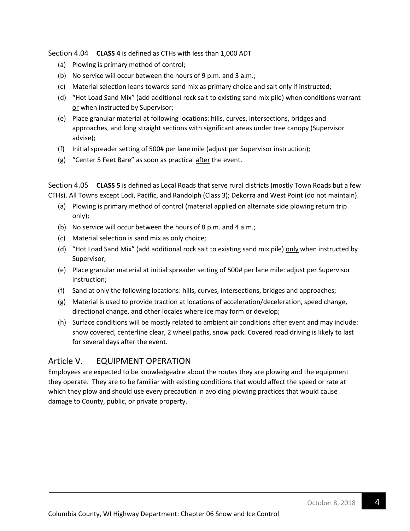Section 4.04 **CLASS 4** is defined as CTHs with less than 1,000 ADT

- (a) Plowing is primary method of control;
- (b) No service will occur between the hours of 9 p.m. and 3 a.m.;
- (c) Material selection leans towards sand mix as primary choice and salt only if instructed;
- (d) "Hot Load Sand Mix" (add additional rock salt to existing sand mix pile) when conditions warrant or when instructed by Supervisor;
- (e) Place granular material at following locations: hills, curves, intersections, bridges and approaches, and long straight sections with significant areas under tree canopy (Supervisor advise);
- (f) Initial spreader setting of 500# per lane mile (adjust per Supervisor instruction);
- (g) "Center 5 Feet Bare" as soon as practical after the event.

Section 4.05 **CLASS 5** is defined as Local Roads that serve rural districts (mostly Town Roads but a few CTHs). All Towns except Lodi, Pacific, and Randolph (Class 3); Dekorra and West Point (do not maintain).

- (a) Plowing is primary method of control (material applied on alternate side plowing return trip only);
- (b) No service will occur between the hours of 8 p.m. and 4 a.m.;
- (c) Material selection is sand mix as only choice;
- (d) "Hot Load Sand Mix" (add additional rock salt to existing sand mix pile) only when instructed by Supervisor;
- (e) Place granular material at initial spreader setting of 500# per lane mile: adjust per Supervisor instruction;
- (f) Sand at only the following locations: hills, curves, intersections, bridges and approaches;
- (g) Material is used to provide traction at locations of acceleration/deceleration, speed change, directional change, and other locales where ice may form or develop;
- (h) Surface conditions will be mostly related to ambient air conditions after event and may include: snow covered, centerline clear, 2 wheel paths, snow pack. Covered road driving is likely to last for several days after the event.

## Article V. EQUIPMENT OPERATION

Employees are expected to be knowledgeable about the routes they are plowing and the equipment they operate. They are to be familiar with existing conditions that would affect the speed or rate at which they plow and should use every precaution in avoiding plowing practices that would cause damage to County, public, or private property.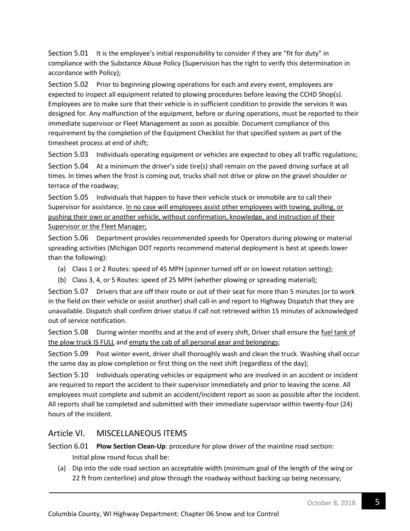Section 5.01 It is the employee's initial responsibility to consider if they are "fit for duty" in compliance with the Substance Abuse Policy (Supervision has the right to verify this determination in accordance with Policy);

Section 5.02 Prior to beginning plowing operations for each and every event, employees are expected to inspect all equipment related to plowing procedures before leaving the CCHD Shop(s). Employees are to make sure that their vehicle is in sufficient condition to provide the services it was designed for. Any malfunction of the equipment, before or during operations, must be reported to their immediate supervisor or Fleet Management as soon as possible. Document compliance of this requirement by the completion of the Equipment Checklist for that specified system as part of the timesheet process at end of shift;

Section 5.03 Individuals operating equipment or vehicles are expected to obey all traffic regulations; Section 5.04 At a minimum the driver's side tire(s) shall remain on the paved driving surface at all times. In times when the frost is coming out, trucks shall not drive or plow on the gravel shoulder or terrace of the roadway;

Section 5.05 Individuals that happen to have their vehicle stuck or immobile are to call their Supervisor for assistance. In no case will employees assist other employees with towing, pulling, or pushing their own or another vehicle, without confirmation, knowledge, and instruction of their Supervisor or the Fleet Manager;

Section 5.06 Department provides recommended speeds for Operators during plowing or material spreading activities (Michigan DOT reports recommend material deployment is best at speeds lower than the following):

- (a) Class 1 or 2 Routes: speed of 45 MPH (spinner turned off or on lowest rotation setting);
- (b) Class 3, 4, or 5 Routes: speed of 25 MPH (whether plowing or spreading material);

Section 5.07 Drivers that are off their route or out of their seat for more than 5 minutes (or to work in the field on their vehicle or assist another) shall call-in and report to Highway Dispatch that they are unavailable. Dispatch shall confirm driver status if call not retrieved within 15 minutes of acknowledged out of service notification.

Section 5.08 During winter months and at the end of every shift, Driver shall ensure the fuel tank of the plow truck IS FULL and empty the cab of all personal gear and belongings;

Section 5.09 Post winter event, driver shall thoroughly wash and clean the truck. Washing shall occur the same day as plow completion or first thing on the next shift (regardless of the day);

Section 5.10 Individuals operating vehicles or equipment who are involved in an accident or incident are required to report the accident to their supervisor immediately and prior to leaving the scene. All employees must complete and submit an accident/incident report as soon as possible after the incident. All reports shall be completed and submitted with their immediate supervisor within twenty-four (24) hours of the incident.

### Article VI. MISCELLANEOUS ITEMS

Section 6.01 **Plow Section Clean-Up**: procedure for plow driver of the mainline road section: Initial plow round focus shall be:

(a) Dip into the side road section an acceptable width (minimum goal of the length of the wing or 22 ft from centerline) and plow through the roadway without backing up being necessary;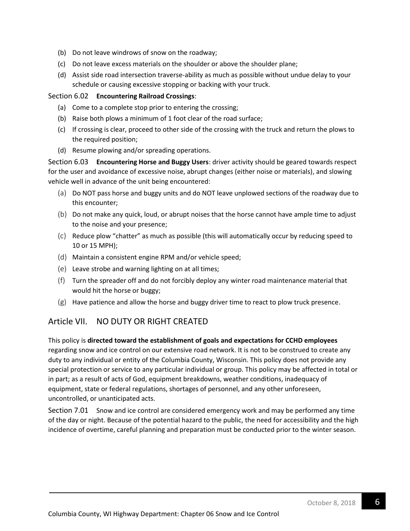- (b) Do not leave windrows of snow on the roadway;
- (c) Do not leave excess materials on the shoulder or above the shoulder plane;
- (d) Assist side road intersection traverse-ability as much as possible without undue delay to your schedule or causing excessive stopping or backing with your truck.

#### Section 6.02 **Encountering Railroad Crossings**:

- (a) Come to a complete stop prior to entering the crossing;
- (b) Raise both plows a minimum of 1 foot clear of the road surface;
- (c) If crossing is clear, proceed to other side of the crossing with the truck and return the plows to the required position;
- (d) Resume plowing and/or spreading operations.

Section 6.03 **Encountering Horse and Buggy Users**: driver activity should be geared towards respect for the user and avoidance of excessive noise, abrupt changes (either noise or materials), and slowing vehicle well in advance of the unit being encountered:

- (a) Do NOT pass horse and buggy units and do NOT leave unplowed sections of the roadway due to this encounter;
- (b) Do not make any quick, loud, or abrupt noises that the horse cannot have ample time to adjust to the noise and your presence;
- (c) Reduce plow "chatter" as much as possible (this will automatically occur by reducing speed to 10 or 15 MPH);
- (d) Maintain a consistent engine RPM and/or vehicle speed;
- (e) Leave strobe and warning lighting on at all times;
- (f) Turn the spreader off and do not forcibly deploy any winter road maintenance material that would hit the horse or buggy;
- (g) Have patience and allow the horse and buggy driver time to react to plow truck presence.

### Article VII. NO DUTY OR RIGHT CREATED

This policy is **directed toward the establishment of goals and expectations for CCHD employees** regarding snow and ice control on our extensive road network. It is not to be construed to create any duty to any individual or entity of the Columbia County, Wisconsin. This policy does not provide any special protection or service to any particular individual or group. This policy may be affected in total or in part; as a result of acts of God, equipment breakdowns, weather conditions, inadequacy of equipment, state or federal regulations, shortages of personnel, and any other unforeseen, uncontrolled, or unanticipated acts.

Section 7.01 Snow and ice control are considered emergency work and may be performed any time of the day or night. Because of the potential hazard to the public, the need for accessibility and the high incidence of overtime, careful planning and preparation must be conducted prior to the winter season.